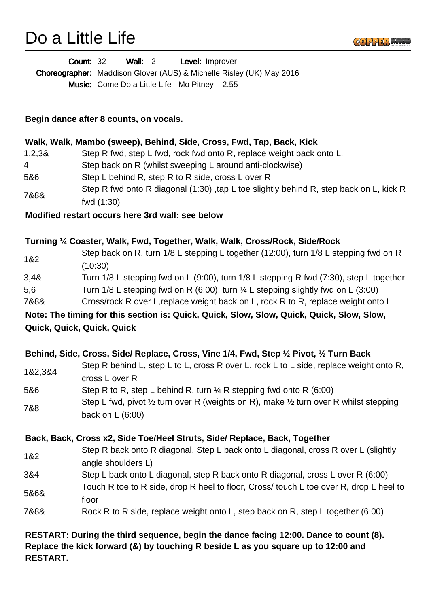## Do a Little Life



|                                        | <b>Wall: 2</b><br><b>Count: 32</b><br>Level: Improver                                                                          |
|----------------------------------------|--------------------------------------------------------------------------------------------------------------------------------|
|                                        | Choreographer: Maddison Glover (AUS) & Michelle Risley (UK) May 2016                                                           |
|                                        | <b>Music:</b> Come Do a Little Life - Mo Pitney $- 2.55$                                                                       |
|                                        |                                                                                                                                |
| Begin dance after 8 counts, on vocals. |                                                                                                                                |
|                                        | Walk, Walk, Mambo (sweep), Behind, Side, Cross, Fwd, Tap, Back, Kick                                                           |
| 1,2,38                                 | Step R fwd, step L fwd, rock fwd onto R, replace weight back onto L,                                                           |
| 4                                      | Step back on R (whilst sweeping L around anti-clockwise)                                                                       |
| 5&6                                    | Step L behind R, step R to R side, cross L over R                                                                              |
| 7&8&                                   | Step R fwd onto R diagonal (1:30) ,tap L toe slightly behind R, step back on L, kick R<br>fwd (1:30)                           |
|                                        | Modified restart occurs here 3rd wall: see below                                                                               |
|                                        | Turning 1/4 Coaster, Walk, Fwd, Together, Walk, Walk, Cross/Rock, Side/Rock                                                    |
| 1&2                                    | Step back on R, turn 1/8 L stepping L together (12:00), turn 1/8 L stepping fwd on R<br>(10:30)                                |
| 3,48                                   | Turn 1/8 L stepping fwd on L (9:00), turn 1/8 L stepping R fwd (7:30), step L together                                         |
| 5,6                                    | Turn 1/8 L stepping fwd on R (6:00), turn $\frac{1}{4}$ L stepping slightly fwd on L (3:00)                                    |
| 7&8&                                   | Cross/rock R over L, replace weight back on L, rock R to R, replace weight onto L                                              |
|                                        | Note: The timing for this section is: Quick, Quick, Slow, Slow, Quick, Quick, Slow, Slow,                                      |
|                                        | Quick, Quick, Quick, Quick                                                                                                     |
|                                        | Behind, Side, Cross, Side/ Replace, Cross, Vine 1/4, Fwd, Step 1/2 Pivot, 1/2 Turn Back                                        |
| 1&2,3&4                                | Step R behind L, step L to L, cross R over L, rock L to L side, replace weight onto R,<br>cross L over R                       |
| 5&6                                    | Step R to R, step L behind R, turn $\frac{1}{4}$ R stepping fwd onto R (6:00)                                                  |
| 7&8                                    | Step L fwd, pivot $\frac{1}{2}$ turn over R (weights on R), make $\frac{1}{2}$ turn over R whilst stepping<br>back on L (6:00) |
|                                        | Back, Back, Cross x2, Side Toe/Heel Struts, Side/ Replace, Back, Together                                                      |
| 1&2                                    | Step R back onto R diagonal, Step L back onto L diagonal, cross R over L (slightly<br>angle shoulders L)                       |
| 3&4                                    | Step L back onto L diagonal, step R back onto R diagonal, cross L over R (6:00)                                                |
| 5&6&                                   | Touch R toe to R side, drop R heel to floor, Cross/ touch L toe over R, drop L heel to<br>floor                                |
| 7&8&                                   | Rock R to R side, replace weight onto L, step back on R, step L together (6:00)                                                |
|                                        | RESTART: During the third sequence, begin the dance facing 12:00. Dance to count (8).                                          |

**Replace the kick forward (&) by touching R beside L as you square up to 12:00 and RESTART.**